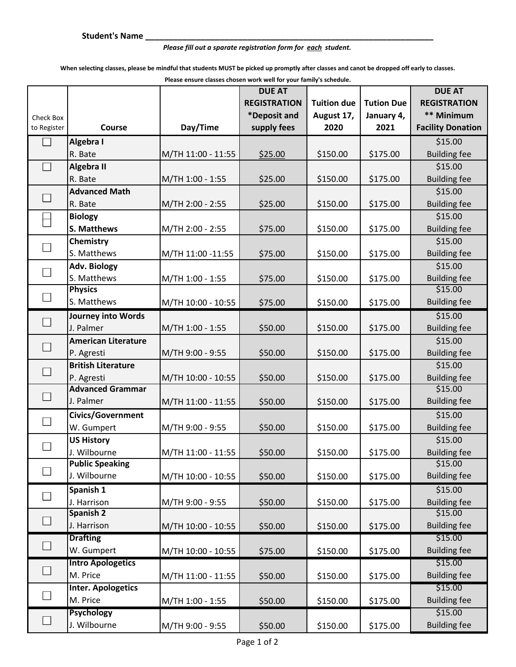## *Please fill out a sparate registration form for each student.*

**When selecting classes, please be mindful that students MUST be picked up promptly after classes and canot be dropped off early to classes.**

**Please ensure classes chosen work well for your family's schedule.**

|                          |                            |                    |                     | <b>DUE AT</b>      |                   |                          |
|--------------------------|----------------------------|--------------------|---------------------|--------------------|-------------------|--------------------------|
|                          |                            |                    | <b>REGISTRATION</b> | <b>Tuition due</b> | <b>Tution Due</b> | <b>REGISTRATION</b>      |
| Check Box                |                            |                    | *Deposit and        | August 17,         | January 4,        | ** Minimum               |
| to Register              | Course                     | Day/Time           | supply fees         | 2020               | 2021              | <b>Facility Donation</b> |
|                          | Algebra I                  |                    |                     |                    |                   | \$15.00                  |
|                          | R. Bate                    | M/TH 11:00 - 11:55 | \$25.00             | \$150.00           | \$175.00          | <b>Building fee</b>      |
|                          | Algebra II                 |                    |                     |                    |                   | \$15.00                  |
|                          | R. Bate                    | M/TH 1:00 - 1:55   | \$25.00             | \$150.00           | \$175.00          | <b>Building fee</b>      |
| $\Box$                   | <b>Advanced Math</b>       |                    |                     |                    |                   | \$15.00                  |
|                          | R. Bate                    | M/TH 2:00 - 2:55   | \$25.00             | \$150.00           | \$175.00          | <b>Building fee</b>      |
|                          | <b>Biology</b>             |                    |                     |                    |                   | \$15.00                  |
|                          | S. Matthews                | M/TH 2:00 - 2:55   | \$75.00             | \$150.00           | \$175.00          | <b>Building fee</b>      |
| $\Box$                   | Chemistry                  |                    |                     |                    |                   | \$15.00                  |
|                          | S. Matthews                | M/TH 11:00 -11:55  | \$75.00             | \$150.00           | \$175.00          | <b>Building fee</b>      |
| $\Box$                   | <b>Adv. Biology</b>        |                    |                     |                    |                   | \$15.00                  |
|                          | S. Matthews                | M/TH 1:00 - 1:55   | \$75.00             | \$150.00           | \$175.00          | <b>Building fee</b>      |
|                          | <b>Physics</b>             |                    |                     |                    |                   | \$15.00                  |
| $\Box$                   | S. Matthews                | M/TH 10:00 - 10:55 | \$75.00             | \$150.00           | \$175.00          | <b>Building fee</b>      |
| $\Box$                   | <b>Journey into Words</b>  |                    |                     |                    |                   | \$15.00                  |
|                          | J. Palmer                  | M/TH 1:00 - 1:55   | \$50.00             | \$150.00           | \$175.00          | <b>Building fee</b>      |
| $\Box$                   | <b>American Literature</b> |                    |                     |                    |                   | \$15.00                  |
|                          | P. Agresti                 | M/TH 9:00 - 9:55   | \$50.00             | \$150.00           | \$175.00          | <b>Building fee</b>      |
|                          | <b>British Literature</b>  |                    |                     |                    |                   | \$15.00                  |
| $\Box$                   | P. Agresti                 | M/TH 10:00 - 10:55 | \$50.00             | \$150.00           | \$175.00          | <b>Building fee</b>      |
| $\Box$                   | <b>Advanced Grammar</b>    |                    |                     |                    |                   | \$15.00                  |
|                          | J. Palmer                  | M/TH 11:00 - 11:55 | \$50.00             | \$150.00           | \$175.00          | <b>Building fee</b>      |
| $\overline{\phantom{a}}$ | Civics/Government          |                    |                     |                    |                   | \$15.00                  |
|                          | W. Gumpert                 | M/TH 9:00 - 9:55   | \$50.00             | \$150.00           | \$175.00          | <b>Building fee</b>      |
|                          | <b>US History</b>          |                    |                     |                    |                   | \$15.00                  |
|                          | J. Wilbourne               | M/TH 11:00 - 11:55 | \$50.00             | \$150.00           | \$175.00          | <b>Building fee</b>      |
|                          | <b>Public Speaking</b>     |                    |                     |                    |                   | \$15.00                  |
|                          | J. Wilbourne               | M/TH 10:00 - 10:55 | \$50.00             | \$150.00           | \$175.00          | <b>Building fee</b>      |
|                          | Spanish 1                  |                    |                     |                    |                   | \$15.00                  |
|                          | J. Harrison                | M/TH 9:00 - 9:55   | \$50.00             | \$150.00           | \$175.00          | <b>Building fee</b>      |
| $\Box$                   | Spanish 2                  |                    |                     |                    |                   | \$15.00                  |
|                          | J. Harrison                | M/TH 10:00 - 10:55 | \$50.00             | \$150.00           | \$175.00          | <b>Building fee</b>      |
| $\Box$                   | <b>Drafting</b>            |                    |                     |                    |                   | \$15.00                  |
|                          | W. Gumpert                 | M/TH 10:00 - 10:55 | \$75.00             | \$150.00           | \$175.00          | <b>Building fee</b>      |
|                          | <b>Intro Apologetics</b>   |                    |                     |                    |                   | \$15.00                  |
|                          | M. Price                   | M/TH 11:00 - 11:55 | \$50.00             | \$150.00           | \$175.00          | <b>Building fee</b>      |
| $\Box$                   | <b>Inter. Apologetics</b>  |                    |                     |                    |                   | \$15.00                  |
|                          | M. Price                   | M/TH 1:00 - 1:55   | \$50.00             | \$150.00           | \$175.00          | <b>Building fee</b>      |
|                          | <b>Psychology</b>          |                    |                     |                    |                   | \$15.00                  |
|                          | J. Wilbourne               | M/TH 9:00 - 9:55   | \$50.00             | \$150.00           | \$175.00          | <b>Building fee</b>      |